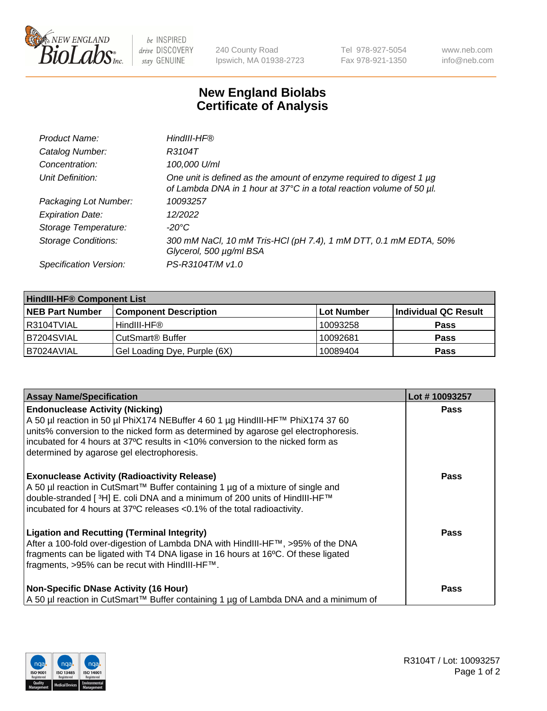

 $be$  INSPIRED drive DISCOVERY stay GENUINE

240 County Road Ipswich, MA 01938-2723 Tel 978-927-5054 Fax 978-921-1350 www.neb.com info@neb.com

## **New England Biolabs Certificate of Analysis**

| Product Name:              | HindIII-HF®                                                                                                                                 |
|----------------------------|---------------------------------------------------------------------------------------------------------------------------------------------|
| Catalog Number:            | R3104T                                                                                                                                      |
| Concentration:             | 100,000 U/ml                                                                                                                                |
| Unit Definition:           | One unit is defined as the amount of enzyme required to digest 1 µg<br>of Lambda DNA in 1 hour at 37°C in a total reaction volume of 50 µl. |
| Packaging Lot Number:      | 10093257                                                                                                                                    |
| <b>Expiration Date:</b>    | 12/2022                                                                                                                                     |
| Storage Temperature:       | $-20^{\circ}$ C                                                                                                                             |
| <b>Storage Conditions:</b> | 300 mM NaCl, 10 mM Tris-HCl (pH 7.4), 1 mM DTT, 0.1 mM EDTA, 50%<br>Glycerol, 500 µg/ml BSA                                                 |
| Specification Version:     | PS-R3104T/M v1.0                                                                                                                            |

| <b>HindIII-HF® Component List</b> |                              |            |                      |  |  |
|-----------------------------------|------------------------------|------------|----------------------|--|--|
| <b>NEB Part Number</b>            | <b>Component Description</b> | Lot Number | Individual QC Result |  |  |
| I R3104TVIAL                      | HindIII-HF®                  | 10093258   | <b>Pass</b>          |  |  |
| B7204SVIAL                        | CutSmart <sup>®</sup> Buffer | 10092681   | <b>Pass</b>          |  |  |
| I B7024AVIAL                      | Gel Loading Dye, Purple (6X) | 10089404   | <b>Pass</b>          |  |  |

| <b>Assay Name/Specification</b>                                                                                                                                                                                                                                                                                                                | Lot #10093257 |
|------------------------------------------------------------------------------------------------------------------------------------------------------------------------------------------------------------------------------------------------------------------------------------------------------------------------------------------------|---------------|
| <b>Endonuclease Activity (Nicking)</b><br>A 50 µl reaction in 50 µl PhiX174 NEBuffer 4 60 1 µg HindIII-HF™ PhiX174 37 60<br>units% conversion to the nicked form as determined by agarose gel electrophoresis.<br>incubated for 4 hours at 37°C results in <10% conversion to the nicked form as<br>determined by agarose gel electrophoresis. | <b>Pass</b>   |
| <b>Exonuclease Activity (Radioactivity Release)</b><br>A 50 µl reaction in CutSmart™ Buffer containing 1 µg of a mixture of single and<br>double-stranded [ <sup>3</sup> H] E. coli DNA and a minimum of 200 units of HindIII-HF <sup>™</sup><br>incubated for 4 hours at 37°C releases <0.1% of the total radioactivity.                      | Pass          |
| <b>Ligation and Recutting (Terminal Integrity)</b><br>After a 100-fold over-digestion of Lambda DNA with HindIII-HF™, >95% of the DNA<br>fragments can be ligated with T4 DNA ligase in 16 hours at 16°C. Of these ligated<br>fragments, >95% can be recut with HindIII-HF™.                                                                   | <b>Pass</b>   |
| <b>Non-Specific DNase Activity (16 Hour)</b><br>  A 50 µl reaction in CutSmart™ Buffer containing 1 µg of Lambda DNA and a minimum of                                                                                                                                                                                                          | Pass          |